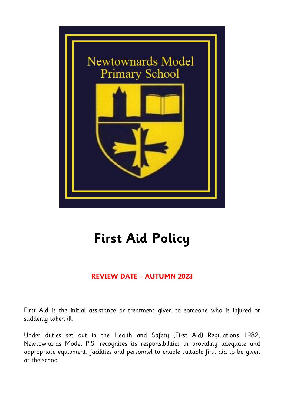

# **First Aid Policy**

# **REVIEW DATE – AUTUMN 2023**

First Aid is the initial assistance or treatment given to someone who is injured or suddenly taken ill.

Under duties set out in the Health and Safety (First Aid) Regulations 1982, Newtownards Model P.S. recognises its responsibilities in providing adequate and appropriate equipment, facilities and personnel to enable suitable first aid to be given at the school.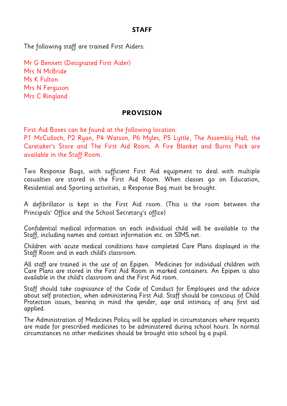## **STAFF**

The following staff are trained First Aiders:

Mr G Bennett (Designated First Aider) Mrs N McBride Ms K Fulton Mrs N Ferguson Mrs C Ringland

### **PROVISION**

First Aid Boxes can be found at the following location:

P1 McCulloch, P2 Ryan, P4 Watson, P6 Myles, P5 Lyttle, The Assembly Hall, the Caretaker's Store and The First Aid Room. A Fire Blanket and Burns Pack are available in the Staff Room.

Two Response Bags, with sufficient First Aid equipment to deal with multiple casualties are stored in the First Aid Room. When classes go on Education, Residential and Sporting activities, a Response Bag must be brought.

A defibrillator is kept in the First Aid room. (This is the room between the Principals' Office and the School Secretary's office)

Confidential medical information on each individual child will be available to the Staff, including names and contact information etc. on SIMS.net.

Children with acute medical conditions have completed Care Plans displayed in the Staff Room and in each child's classroom.

All staff are trained in the use of an Epipen. Medicines for individual children with Care Plans are stored in the First Aid Room in marked containers. An Epipen is also available in the child's classroom and the First Aid room.

Staff should take cognisance of the Code of Conduct for Employees and the advice about self protection, when administering First Aid. Staff should be conscious of Child Protection issues, bearing in mind the gender, age and intimacy of any first aid applied.

The Administration of Medicines Policy will be applied in circumstances where requests are made for prescribed medicines to be administered during school hours. In normal circumstances no other medicines should be brought into school by a pupil.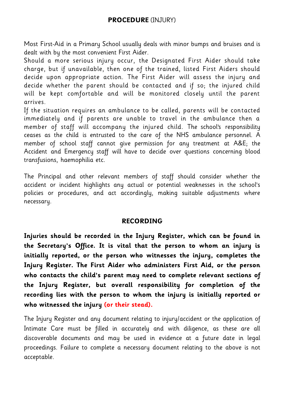## **PROCEDURE** (INJURY)

Most First-Aid in a Primary School usually deals with minor bumps and bruises and is dealt with by the most convenient First Aider.

Should a more serious injury occur, the Designated First Aider should take charge, but if unavailable, then one of the trained, listed First Aiders should decide upon appropriate action. The First Aider will assess the injury and decide whether the parent should be contacted and if so; the injured child will be kept comfortable and will be monitored closely until the parent arrives.

If the situation requires an ambulance to be called, parents will be contacted immediately and if parents are unable to travel in the ambulance then a member of staff will accompany the injured child. The school's responsibility ceases as the child is entrusted to the care of the NHS ambulance personnel. A member of school staff cannot give permission for any treatment at A&E; the Accident and Emergency staff will have to decide over questions concerning blood transfusions, haemophilia etc.

The Principal and other relevant members of staff should consider whether the accident or incident highlights any actual or potential weaknesses in the school's policies or procedures, and act accordingly, making suitable adjustments where necessary.

## **RECORDING**

**Injuries should be recorded in the Injury Register, which can be found in the Secretary's Office. It is vital that the person to whom an injury is initially reported, or the person who witnesses the injury, completes the Injury Register. The First Aider who administers First Aid, or the person who contacts the child's parent may need to complete relevant sections of the Injury Register, but overall responsibility for completion of the recording lies with the person to whom the injury is initially reported or who witnessed the injury (or their stead).**

The Injury Register and any document relating to injury/accident or the application of Intimate Care must be filled in accurately and with diligence, as these are all discoverable documents and may be used in evidence at a future date in legal proceedings. Failure to complete a necessary document relating to the above is not acceptable.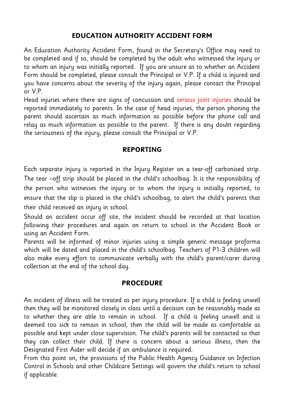# **EDUCATION AUTHORITY ACCIDENT FORM**

An Education Authority Accident Form, found in the Secretary's Office may need to be completed and if so, should be completed by the adult who witnessed the injury or to whom an injury was initially reported. If you are unsure as to whether an Accident Form should be completed, please consult the Principal or V.P. If a child is injured and you have concerns about the severity of the injury again, please contact the Principal or V.P.

Head injuries where there are signs of concussion and serious joint injuries should be reported immediately to parents. In the case of head injuries, the person phoning the parent should ascertain as much information as possible before the phone call and relay as much information as possible to the parent. If there is any doubt regarding the seriousness of the injury, please consult the Principal or V.P.

## **REPORTING**

Each separate injury is reported in the Injury Register on a tear-off carbonised strip. The tear –off strip should be placed in the child's schoolbag. It is the responsibility of the person who witnesses the injury or to whom the injury is initially reported, to ensure that the slip is placed in the child's schoolbag, to alert the child's parents that their child received an injury in school.

Should an accident occur off site, the incident should be recorded at that location following their procedures and again on return to school in the Accident Book or using an Accident Form.

Parents will be informed of minor injuries using a simple generic message proforma which will be dated and placed in the child's schoolbag. Teachers of P1-3 children will also make every effort to communicate verbally with the child's parent/carer during collection at the end of the school day.

### **PROCEDURE**

An incident of illness will be treated as per injury procedure. If a child is feeling unwell then they will be monitored closely in class until a decision can be reasonably made as to whether they are able to remain in school. If a child is feeling unwell and is deemed too sick to remain in school, then the child will be made as comfortable as possible and kept under close supervision. The child's parents will be contacted so that they can collect their child. If there is concern about a serious illness, then the Designated First Aider will decide if an ambulance is required.

From this point on, the provisions of the Public Health Agency Guidance on Infection Control in Schools and other Childcare Settings will govern the child's return to school if applicable.